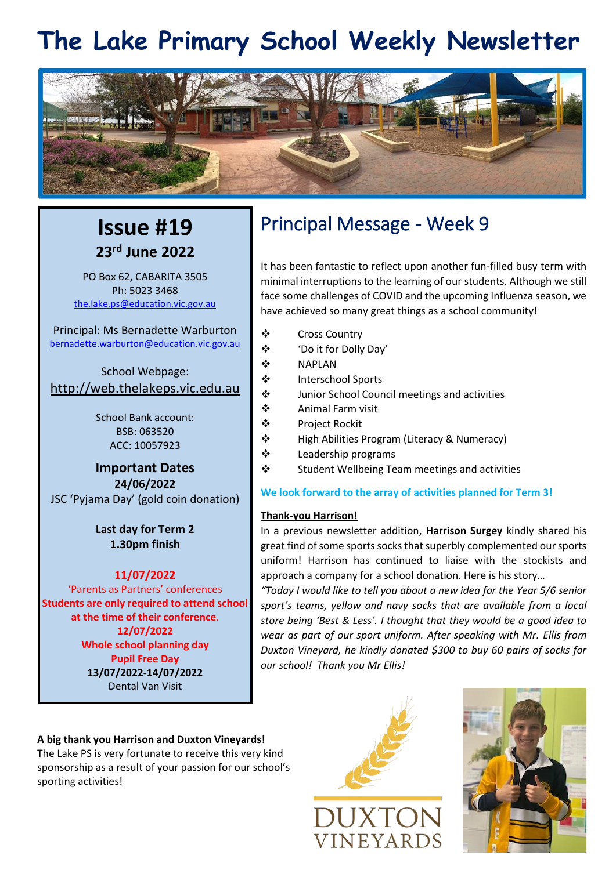# **The Lake Primary School Weekly Newsletter**



### **Issue #19 23rd June 2022**

PO Box 62, CABARITA 3505 Ph: 5023 3468 [the.lake.ps@education.vic.gov.au](mailto:the.lake.ps@education.vic.gov.au)

Principal: Ms Bernadette Warburton [bernadette.warburton@education.vic.gov.au](mailto:bernadette.warburton@education.vic.gov.au)

School Webpage: [http://web.thelakeps.vic.edu.au](http://web.thelakeps.vic.edu.au/)

> School Bank account: BSB: 063520 ACC: 10057923

**Important Dates 24/06/2022** JSC 'Pyjama Day' (gold coin donation)

> **Last day for Term 2 1.30pm finish**

### **11/07/2022**

'Parents as Partners' conferences **Students are only required to attend school at the time of their conference. 12/07/2022 Whole school planning day Pupil Free Day 13/07/2022-14/07/2022** Dental Van Visit

### **A big thank you Harrison and Duxton Vineyards!**

The Lake PS is very fortunate to receive this very kind sponsorship as a result of your passion for our school's sporting activities!

## Principal Message - Week 9

It has been fantastic to reflect upon another fun-filled busy term with minimal interruptions to the learning of our students. Although we still face some challenges of COVID and the upcoming Influenza season, we have achieved so many great things as a school community!

- ❖ Cross Country
- ❖ 'Do it for Dolly Day'
- ❖ NAPLAN
- ❖ Interschool Sports
- ❖ Junior School Council meetings and activities
- ❖ Animal Farm visit
- ❖ Project Rockit
- ❖ High Abilities Program (Literacy & Numeracy)
- ❖ Leadership programs
- ❖ Student Wellbeing Team meetings and activities

### **We look forward to the array of activities planned for Term 3!**

### **Thank-you Harrison!**

In a previous newsletter addition, **Harrison Surgey** kindly shared his great find of some sports socks that superbly complemented our sports uniform! Harrison has continued to liaise with the stockists and approach a company for a school donation. Here is his story…

*"Today I would like to tell you about a new idea for the Year 5/6 senior sport's teams, yellow and navy socks that are available from a local store being 'Best & Less'. I thought that they would be a good idea to wear as part of our sport uniform. After speaking with Mr. Ellis from Duxton Vineyard, he kindly donated \$300 to buy 60 pairs of socks for our school! Thank you Mr Ellis!*



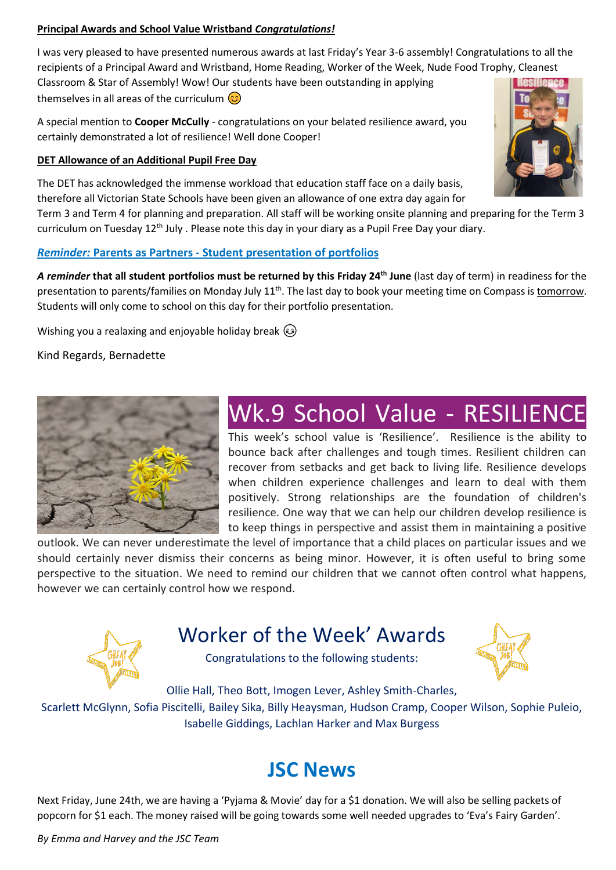### **Principal Awards and School Value Wristband** *Congratulations!*

I was very pleased to have presented numerous awards at last Friday's Year 3-6 assembly! Congratulations to all the recipients of a Principal Award and Wristband, Home Reading, Worker of the Week, Nude Food Trophy, Cleanest Classroom & Star of Assembly! Wow! Our students have been outstanding in applying themselves in all areas of the curriculum  $\odot$ 

A special mention to **Cooper McCully** - congratulations on your belated resilience award, you certainly demonstrated a lot of resilience! Well done Cooper!

### **DET Allowance of an Additional Pupil Free Day**

The DET has acknowledged the immense workload that education staff face on a daily basis, therefore all Victorian State Schools have been given an allowance of one extra day again for Term 3 and Term 4 for planning and preparation. All staff will be working onsite planning and preparing for the Term 3

curriculum on Tuesday 12<sup>th</sup> July . Please note this day in your diary as a Pupil Free Day your diary.

### *Reminder:* **Parents as Partners - Student presentation of portfolios**

*A reminder* **that all student portfolios must be returned by this Friday 24th June** (last day of term) in readiness for the presentation to parents/families on Monday July 11<sup>th</sup>. The last day to book your meeting time on Compass is tomorrow. Students will only come to school on this day for their portfolio presentation.

Wishing you a realaxing and enjoyable holiday break  $\odot$ 

Kind Regards, Bernadette



## Wk.9 School Value - RESILIENCE

This week's school value is 'Resilience'. Resilience is the ability to bounce back after challenges and tough times. Resilient children can recover from setbacks and get back to living life. Resilience develops when children experience challenges and learn to deal with them positively. Strong relationships are the foundation of children's resilience. One way that we can help our children develop resilience is to keep things in perspective and assist them in maintaining a positive

outlook. We can never underestimate the level of importance that a child places on particular issues and we should certainly never dismiss their concerns as being minor. However, it is often useful to bring some perspective to the situation. We need to remind our children that we cannot often control what happens, however we can certainly control how we respond.



## Worker of the Week' Awards

Congratulations to the following students:



Ollie Hall, Theo Bott, Imogen Lever, Ashley Smith-Charles,

Scarlett McGlynn, Sofia Piscitelli, Bailey Sika, Billy Heaysman, Hudson Cramp, Cooper Wilson, Sophie Puleio, Isabelle Giddings, Lachlan Harker and Max Burgess

## **JSC News**

Next Friday, June 24th, we are having a 'Pyjama & Movie' day for a \$1 donation. We will also be selling packets of popcorn for \$1 each. The money raised will be going towards some well needed upgrades to 'Eva's Fairy Garden'.

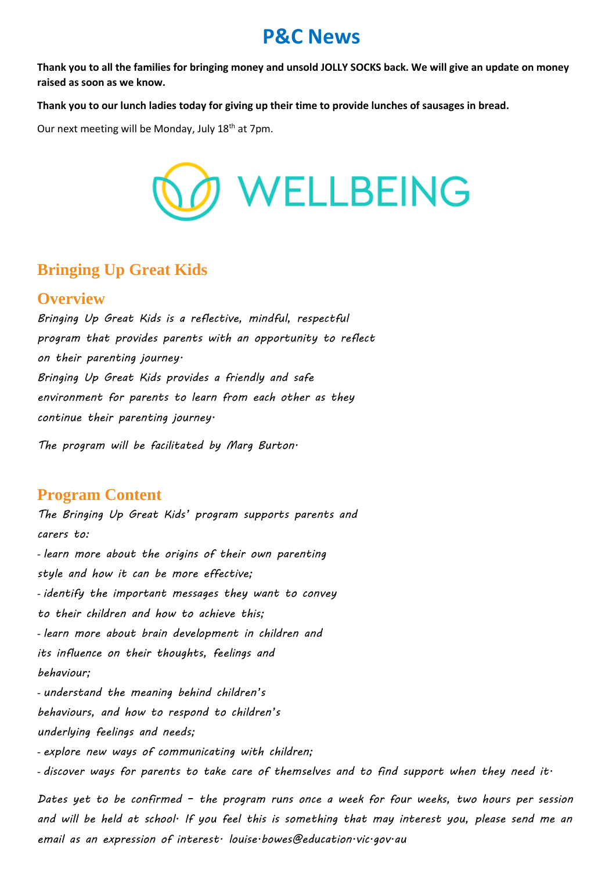### **P&C News**

**Thank you to all the families for bringing money and unsold JOLLY SOCKS back. We will give an update on money raised as soon as we know.**

**Thank you to our lunch ladies today for giving up their time to provide lunches of sausages in bread.**

Our next meeting will be Monday, July 18<sup>th</sup> at 7pm.



### **Bringing Up Great Kids**

### **Overview**

*Bringing Up Great Kids is a reflective, mindful, respectful program that provides parents with an opportunity to reflect on their parenting journey. Bringing Up Great Kids provides a friendly and safe environment for parents to learn from each other as they continue their parenting journey.*

*The program will be facilitated by Marg Burton.*

### **Program Content**

*The Bringing Up Great Kids' program supports parents and carers to:* - *learn more about the origins of their own parenting style and how it can be more effective;* - *identify the important messages they want to convey to their children and how to achieve this;* - *learn more about brain development in children and its influence on their thoughts, feelings and behaviour;* - *understand the meaning behind children's behaviours, and how to respond to children's underlying feelings and needs;* - *explore new ways of communicating with children;* - *discover ways for parents to take care of themselves and to find support when they need it.*

*Dates yet to be confirmed – the program runs once a week for four weeks, two hours per session and will be held at school. If you feel this is something that may interest you, please send me an email as an expression of interest. louise.bowes@education.vic.gov.au*